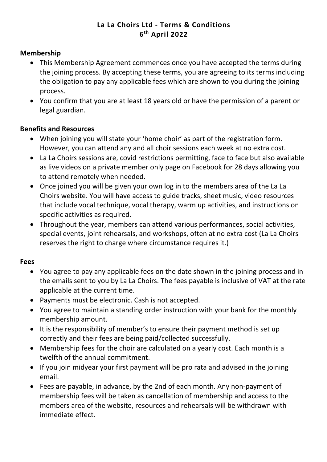# **La La Choirs Ltd - Terms & Conditions 6th April 2022**

#### **Membership**

- This Membership Agreement commences once you have accepted the terms during the joining process. By accepting these terms, you are agreeing to its terms including the obligation to pay any applicable fees which are shown to you during the joining process.
- You confirm that you are at least 18 years old or have the permission of a parent or legal guardian.

#### **Benefits and Resources**

- When joining you will state your 'home choir' as part of the registration form. However, you can attend any and all choir sessions each week at no extra cost.
- La La Choirs sessions are, covid restrictions permitting, face to face but also available as live videos on a private member only page on Facebook for 28 days allowing you to attend remotely when needed.
- Once joined you will be given your own log in to the members area of the La La Choirs website. You will have access to guide tracks, sheet music, video resources that include vocal technique, vocal therapy, warm up activities, and instructions on specific activities as required.
- Throughout the year, members can attend various performances, social activities, special events, joint rehearsals, and workshops, often at no extra cost (La La Choirs reserves the right to charge where circumstance requires it.)

#### **Fees**

- You agree to pay any applicable fees on the date shown in the joining process and in the emails sent to you by La La Choirs. The fees payable is inclusive of VAT at the rate applicable at the current time.
- Payments must be electronic. Cash is not accepted.
- You agree to maintain a standing order instruction with your bank for the monthly membership amount.
- It is the responsibility of member's to ensure their payment method is set up correctly and their fees are being paid/collected successfully.
- Membership fees for the choir are calculated on a yearly cost. Each month is a twelfth of the annual commitment.
- If you join midyear your first payment will be pro rata and advised in the joining email.
- Fees are payable, in advance, by the 2nd of each month. Any non-payment of membership fees will be taken as cancellation of membership and access to the members area of the website, resources and rehearsals will be withdrawn with immediate effect.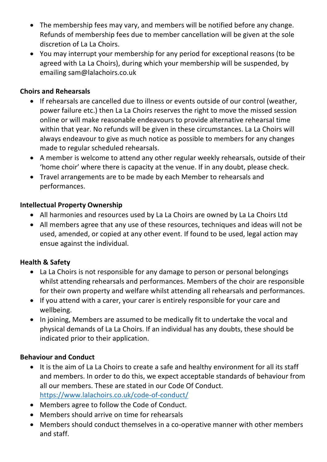- The membership fees may vary, and members will be notified before any change. Refunds of membership fees due to member cancellation will be given at the sole discretion of La La Choirs.
- You may interrupt your membership for any period for exceptional reasons (to be agreed with La La Choirs), during which your membership will be suspended, by emailing sam@lalachoirs.co.uk

## **Choirs and Rehearsals**

- If rehearsals are cancelled due to illness or events outside of our control (weather, power failure etc.) then La La Choirs reserves the right to move the missed session online or will make reasonable endeavours to provide alternative rehearsal time within that year. No refunds will be given in these circumstances. La La Choirs will always endeavour to give as much notice as possible to members for any changes made to regular scheduled rehearsals.
- A member is welcome to attend any other regular weekly rehearsals, outside of their 'home choir' where there is capacity at the venue. If in any doubt, please check.
- Travel arrangements are to be made by each Member to rehearsals and performances.

# **Intellectual Property Ownership**

- All harmonies and resources used by La La Choirs are owned by La La Choirs Ltd
- All members agree that any use of these resources, techniques and ideas will not be used, amended, or copied at any other event. If found to be used, legal action may ensue against the individual.

# **Health & Safety**

- La La Choirs is not responsible for any damage to person or personal belongings whilst attending rehearsals and performances. Members of the choir are responsible for their own property and welfare whilst attending all rehearsals and performances.
- If you attend with a carer, your carer is entirely responsible for your care and wellbeing.
- In joining, Members are assumed to be medically fit to undertake the vocal and physical demands of La La Choirs. If an individual has any doubts, these should be indicated prior to their application.

#### **Behaviour and Conduct**

- It is the aim of La La Choirs to create a safe and healthy environment for all its staff and members. In order to do this, we expect acceptable standards of behaviour from all our members. These are stated in our Code Of Conduct. https://www.lalachoirs.co.uk/code-of-conduct/
- Members agree to follow the Code of Conduct.
- Members should arrive on time for rehearsals
- Members should conduct themselves in a co-operative manner with other members and staff.